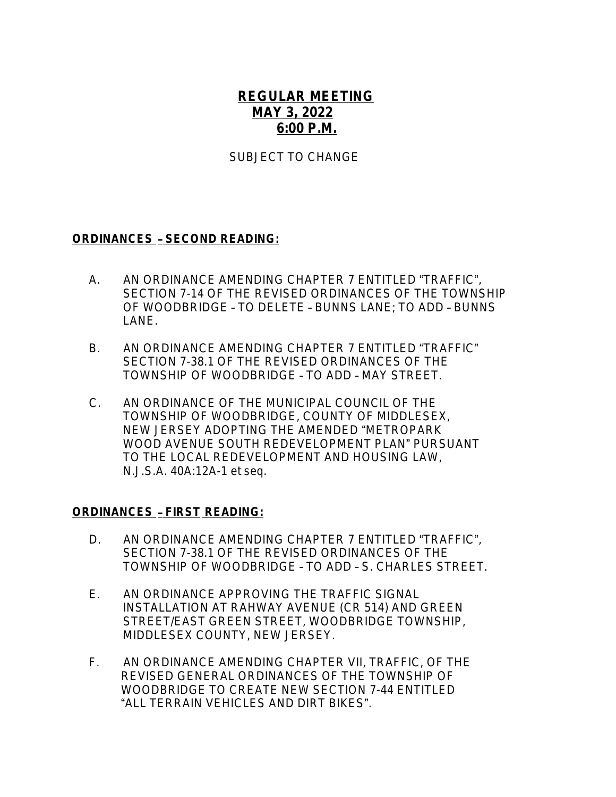# **REGULAR MEETING MAY 3, 2022 6:00 P.M.**

### SUBJECT TO CHANGE

#### **ORDINANCES** – **SECOND READING:**

- A. AN ORDINANCE AMENDING CHAPTER 7 ENTITLED "TRAFFIC", SECTION 7-14 OF THE REVISED ORDINANCES OF THE TOWNSHIP OF WOODBRIDGE – TO DELETE – BUNNS LANE; TO ADD – BUNNS LANE.
- B. AN ORDINANCE AMENDING CHAPTER 7 ENTITLED "TRAFFIC" SECTION 7-38.1 OF THE REVISED ORDINANCES OF THE TOWNSHIP OF WOODBRIDGE – TO ADD – MAY STREET.
- C. AN ORDINANCE OF THE MUNICIPAL COUNCIL OF THE TOWNSHIP OF WOODBRIDGE, COUNTY OF MIDDLESEX, NEW JERSEY ADOPTING THE AMENDED "METROPARK WOOD AVENUE SOUTH REDEVELOPMENT PLAN" PURSUANT TO THE LOCAL REDEVELOPMENT AND HOUSING LAW, N.J.S.A. 40A:12A-1 et seq.

#### **ORDINANCES** – **FIRST READING:**

- D. AN ORDINANCE AMENDING CHAPTER 7 ENTITLED "TRAFFIC", SECTION 7-38.1 OF THE REVISED ORDINANCES OF THE TOWNSHIP OF WOODBRIDGE – TO ADD – S. CHARLES STREET.
- E. AN ORDINANCE APPROVING THE TRAFFIC SIGNAL INSTALLATION AT RAHWAY AVENUE (CR 514) AND GREEN STREET/EAST GREEN STREET, WOODBRIDGE TOWNSHIP, MIDDLESEX COUNTY, NEW JERSEY.
- F. AN ORDINANCE AMENDING CHAPTER VII, TRAFFIC, OF THE REVISED GENERAL ORDINANCES OF THE TOWNSHIP OF WOODBRIDGE TO CREATE NEW SECTION 7-44 ENTITLED "ALL TERRAIN VEHICLES AND DIRT BIKES".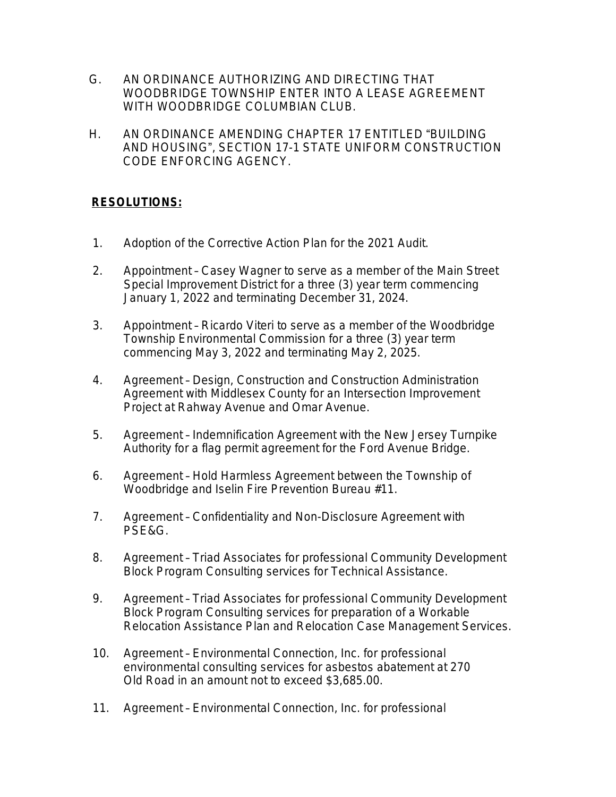- G. AN ORDINANCE AUTHORIZING AND DIRECTING THAT WOODBRIDGE TOWNSHIP ENTER INTO A LEASE AGREEMENT WITH WOODBRIDGE COLUMBIAN CLUB.
- H. AN ORDINANCE AMENDING CHAPTER 17 ENTITLED "BUILDING AND HOUSING", SECTION 17-1 STATE UNIFORM CONSTRUCTION CODE ENFORCING AGENCY.

## **RESOLUTIONS:**

- 1. Adoption of the Corrective Action Plan for the 2021 Audit.
- 2. Appointment Casey Wagner to serve as a member of the Main Street Special Improvement District for a three (3) year term commencing January 1, 2022 and terminating December 31, 2024.
- 3. Appointment Ricardo Viteri to serve as a member of the Woodbridge Township Environmental Commission for a three (3) year term commencing May 3, 2022 and terminating May 2, 2025.
- 4. Agreement Design, Construction and Construction Administration Agreement with Middlesex County for an Intersection Improvement Project at Rahway Avenue and Omar Avenue.
- 5. Agreement Indemnification Agreement with the New Jersey Turnpike Authority for a flag permit agreement for the Ford Avenue Bridge.
- 6. Agreement Hold Harmless Agreement between the Township of Woodbridge and Iselin Fire Prevention Bureau #11.
- 7. Agreement Confidentiality and Non-Disclosure Agreement with PSE&G.
- 8. Agreement Triad Associates for professional Community Development Block Program Consulting services for Technical Assistance.
- 9. Agreement Triad Associates for professional Community Development Block Program Consulting services for preparation of a Workable Relocation Assistance Plan and Relocation Case Management Services.
- 10. Agreement Environmental Connection, Inc. for professional environmental consulting services for asbestos abatement at 270 Old Road in an amount not to exceed \$3,685.00.
- 11. Agreement Environmental Connection, Inc. for professional